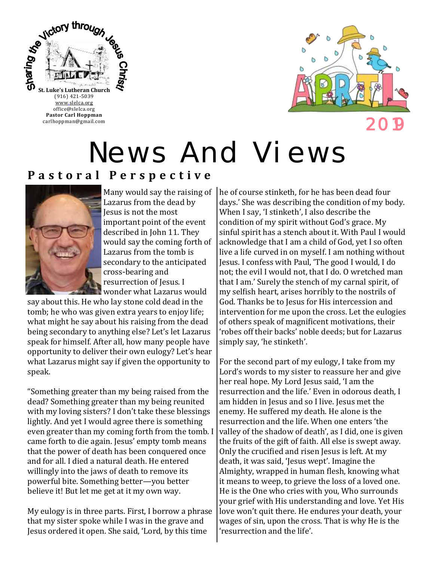

**Pastor Carl Hoppman** carlhoppman@gmail.com



# News And Views

#### **P a s t o r a l P e r s p e c t i v e**



Many would say the raising of Lazarus from the dead by Jesus is not the most important point of the event described in John 11. They would say the coming forth of Lazarus from the tomb is secondary to the anticipated cross-bearing and resurrection of Jesus. I wonder what Lazarus would

say about this. He who lay stone cold dead in the tomb; he who was given extra years to enjoy life; what might he say about his raising from the dead being secondary to anything else? Let's let Lazarus speak for himself. After all, how many people have opportunity to deliver their own eulogy? Let's hear what Lazarus might say if given the opportunity to speak.

"Something greater than my being raised from the dead? Something greater than my being reunited with my loving sisters? I don't take these blessings lightly. And yet I would agree there is something even greater than my coming forth from the tomb. I came forth to die again. Jesus' empty tomb means that the power of death has been conquered once and for all. I died a natural death. He entered willingly into the jaws of death to remove its powerful bite. Something better—you better believe it! But let me get at it my own way.

My eulogy is in three parts. First, I borrow a phrase that my sister spoke while I was in the grave and Jesus ordered it open. She said, 'Lord, by this time

he of course stinketh, for he has been dead four days.' She was describing the condition of my body. When I say, 'I stinketh', I also describe the condition of my spirit without God's grace. My sinful spirit has a stench about it. With Paul I would acknowledge that I am a child of God, yet I so often live a life curved in on myself. I am nothing without Jesus. I confess with Paul, 'The good I would, I do not; the evil I would not, that I do. O wretched man that I am.' Surely the stench of my carnal spirit, of my selfish heart, arises horribly to the nostrils of God. Thanks be to Jesus for His intercession and intervention for me upon the cross. Let the eulogies of others speak of magnificent motivations, their 'robes off their backs' noble deeds; but for Lazarus simply say, 'he stinketh'.

For the second part of my eulogy, I take from my Lord's words to my sister to reassure her and give her real hope. My Lord Jesus said, 'I am the resurrection and the life.' Even in odorous death, I am hidden in Jesus and so I live. Jesus met the enemy. He suffered my death. He alone is the resurrection and the life. When one enters 'the valley of the shadow of death', as I did, one is given the fruits of the gift of faith. All else is swept away. Only the crucified and risen Jesus is left. At my death, it was said, 'Jesus wept'. Imagine the Almighty, wrapped in human flesh, knowing what it means to weep, to grieve the loss of a loved one. He is the One who cries with you, Who surrounds your grief with His understanding and love. Yet His love won't quit there. He endures your death, your wages of sin, upon the cross. That is why He is the 'resurrection and the life'.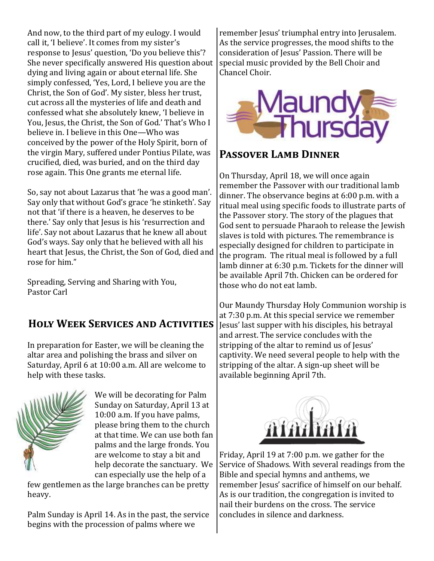And now, to the third part of my eulogy. I would call it, 'I believe'. It comes from my sister's response to Jesus' question, 'Do you believe this'? She never specifically answered His question about dying and living again or about eternal life. She simply confessed, 'Yes, Lord, I believe you are the Christ, the Son of God'. My sister, bless her trust, cut across all the mysteries of life and death and confessed what she absolutely knew, 'I believe in You, Jesus, the Christ, the Son of God.' That's Who I believe in. I believe in this One—Who was conceived by the power of the Holy Spirit, born of the virgin Mary, suffered under Pontius Pilate, was crucified, died, was buried, and on the third day rose again. This One grants me eternal life.

So, say not about Lazarus that 'he was a good man'. Say only that without God's grace 'he stinketh'. Say not that 'if there is a heaven, he deserves to be there.' Say only that Jesus is his 'resurrection and life'. Say not about Lazarus that he knew all about God's ways. Say only that he believed with all his heart that Jesus, the Christ, the Son of God, died and rose for him."

Spreading, Serving and Sharing with You, Pastor Carl

#### **Holy Week Services and Activities**

In preparation for Easter, we will be cleaning the altar area and polishing the brass and silver on Saturday, April 6 at 10:00 a.m. All are welcome to help with these tasks.



We will be decorating for Palm Sunday on Saturday, April 13 at 10:00 a.m. If you have palms, please bring them to the church at that time. We can use both fan palms and the large fronds. You are welcome to stay a bit and help decorate the sanctuary. We can especially use the help of a

few gentlemen as the large branches can be pretty heavy.

Palm Sunday is April 14. As in the past, the service begins with the procession of palms where we

remember Jesus' triumphal entry into Jerusalem. As the service progresses, the mood shifts to the consideration of Jesus' Passion. There will be special music provided by the Bell Choir and Chancel Choir.



#### **PASSOVER LAMB DINNER**

On Thursday, April 18, we will once again remember the Passover with our traditional lamb dinner. The observance begins at 6:00 p.m. with a ritual meal using specific foods to illustrate parts of the Passover story. The story of the plagues that God sent to persuade Pharaoh to release the Jewish slaves is told with pictures. The remembrance is especially designed for children to participate in the program. The ritual meal is followed by a full lamb dinner at 6:30 p.m. Tickets for the dinner will be available April 7th. Chicken can be ordered for those who do not eat lamb.

Our Maundy Thursday Holy Communion worship is at 7:30 p.m. At this special service we remember Jesus' last supper with his disciples, his betrayal and arrest. The service concludes with the stripping of the altar to remind us of Jesus' captivity. We need several people to help with the stripping of the altar. A sign-up sheet will be available beginning April 7th.



Friday, April 19 at 7:00 p.m. we gather for the Service of Shadows. With several readings from the Bible and special hymns and anthems, we remember Jesus' sacrifice of himself on our behalf. As is our tradition, the congregation is invited to nail their burdens on the cross. The service concludes in silence and darkness.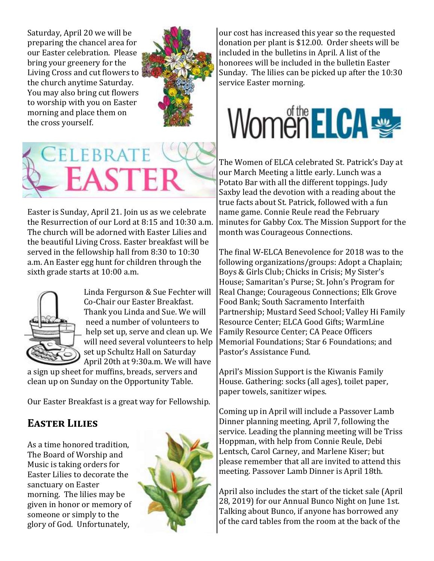Saturday, April 20 we will be preparing the chancel area for our Easter celebration. Please bring your greenery for the Living Cross and cut flowers to the church anytime Saturday. You may also bring cut flowers to worship with you on Easter morning and place them on the cross yourself.





Easter is Sunday, April 21. Join us as we celebrate the Resurrection of our Lord at 8:15 and 10:30 a.m. The church will be adorned with Easter Lilies and the beautiful Living Cross. Easter breakfast will be served in the fellowship hall from 8:30 to 10:30 a.m. An Easter egg hunt for children through the sixth grade starts at 10:00 a.m.



Linda Fergurson & Sue Fechter will Co-Chair our Easter Breakfast. Thank you Linda and Sue. We will need a number of volunteers to help set up, serve and clean up. We will need several volunteers to help set up Schultz Hall on Saturday April 20th at 9:30a.m. We will have

a sign up sheet for muffins, breads, servers and clean up on Sunday on the Opportunity Table.

Our Easter Breakfast is a great way for Fellowship.

## **Easter Lilies**

As a time honored tradition, The Board of Worship and Music is taking orders for Easter Lilies to decorate the sanctuary on Easter morning. The lilies may be given in honor or memory of someone or simply to the glory of God. Unfortunately,



our cost has increased this year so the requested donation per plant is \$12.00. Order sheets will be included in the bulletins in April. A list of the honorees will be included in the bulletin Easter Sunday. The lilies can be picked up after the 10:30 service Easter morning.



The Women of ELCA celebrated St. Patrick's Day at our March Meeting a little early. Lunch was a Potato Bar with all the different toppings. Judy Saxby lead the devotion with a reading about the true facts about St. Patrick, followed with a fun name game. Connie Reule read the February minutes for Gabby Cox. The Mission Support for the month was Courageous Connections.

The final W-ELCA Benevolence for 2018 was to the following organizations/groups: Adopt a Chaplain; Boys & Girls Club; Chicks in Crisis; My Sister's House; Samaritan's Purse; St. John's Program for Real Change; Courageous Connections; Elk Grove Food Bank; South Sacramento Interfaith Partnership; Mustard Seed School; Valley Hi Family Resource Center; ELCA Good Gifts; WarmLine Family Resource Center; CA Peace Officers Memorial Foundations; Star 6 Foundations; and Pastor's Assistance Fund.

April's Mission Support is the Kiwanis Family House. Gathering: socks (all ages), toilet paper, paper towels, sanitizer wipes.

Coming up in April will include a Passover Lamb Dinner planning meeting, April 7, following the service. Leading the planning meeting will be Triss Hoppman, with help from Connie Reule, Debi Lentsch, Carol Carney, and Marlene Kiser; but please remember that all are invited to attend this meeting. Passover Lamb Dinner is April 18th.

April also includes the start of the ticket sale (April 28, 2019) for our Annual Bunco Night on June 1st. Talking about Bunco, if anyone has borrowed any of the card tables from the room at the back of the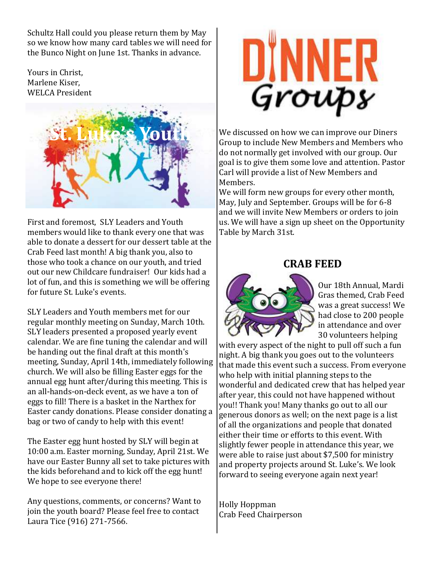Schultz Hall could you please return them by May so we know how many card tables we will need for the Bunco Night on June 1st. Thanks in advance.

Yours in Christ, Marlene Kiser, WELCA President



First and foremost, SLY Leaders and Youth members would like to thank every one that was able to donate a dessert for our dessert table at the Crab Feed last month! A big thank you, also to those who took a chance on our youth, and tried out our new Childcare fundraiser! Our kids had a lot of fun, and this is something we will be offering for future St. Luke's events.

SLY Leaders and Youth members met for our regular monthly meeting on Sunday, March 10th. SLY leaders presented a proposed yearly event calendar. We are fine tuning the calendar and will be handing out the final draft at this month's meeting, Sunday, April 14th, immediately following church. We will also be filling Easter eggs for the annual egg hunt after/during this meeting. This is an all-hands-on-deck event, as we have a ton of eggs to fill! There is a basket in the Narthex for Easter candy donations. Please consider donating a bag or two of candy to help with this event!

The Easter egg hunt hosted by SLY will begin at 10:00 a.m. Easter morning, Sunday, April 21st. We have our Easter Bunny all set to take pictures with the kids beforehand and to kick off the egg hunt! We hope to see everyone there!

Any questions, comments, or concerns? Want to join the youth board? Please feel free to contact Laura Tice (916) 271-7566.



We discussed on how we can improve our Diners Group to include New Members and Members who do not normally get involved with our group. Our goal is to give them some love and attention. Pastor Carl will provide a list of New Members and Members.

We will form new groups for every other month, May, July and September. Groups will be for 6-8 and we will invite New Members or orders to join us. We will have a sign up sheet on the Opportunity Table by March 31st.

#### **CRAB FEED**



Our 18th Annual, Mardi Gras themed, Crab Feed was a great success! We had close to 200 people in attendance and over 30 volunteers helping

with every aspect of the night to pull off such a fun night. A big thank you goes out to the volunteers that made this event such a success. From everyone who help with initial planning steps to the wonderful and dedicated crew that has helped year after year, this could not have happened without you!! Thank you! Many thanks go out to all our generous donors as well; on the next page is a list of all the organizations and people that donated either their time or efforts to this event. With slightly fewer people in attendance this year, we were able to raise just about \$7,500 for ministry and property projects around St. Luke's. We look forward to seeing everyone again next year!

Holly Hoppman Crab Feed Chairperson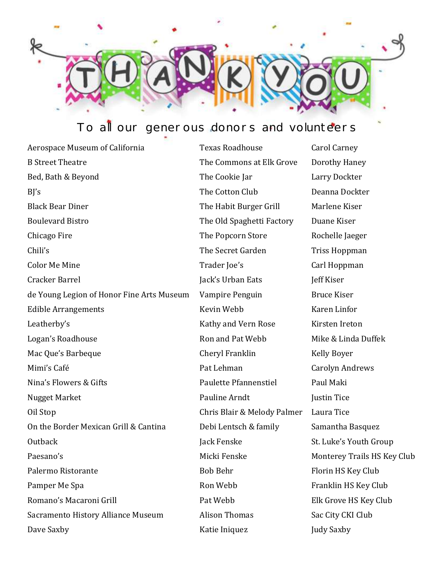

### To all our generous donors and volunteers

Aerospace Museum of California Texas Roadhouse Carol Carney B Street Theatre The Commons at Elk Grove Dorothy Haney Bed, Bath & Beyond The Cookie Jar Cookie Jar Larry Dockter BI's **The Cotton Club** Deanna Dockter Black Bear Diner The Habit Burger Grill Marlene Kiser Boulevard Bistro **The Old Spaghetti Factory** Duane Kiser Chicago Fire **The Popcorn Store** Rochelle Jaeger Chili's Chili's Chili's Chili's Chili's Chili's Chili's Chili's Chili's Chili's Chili Chili Chili Chili Chili Chili Chili Chili Chili Chili Chili Chili Chili Chili Chili Chili Chili Chili Chili Chili Chili Chili Chili Chil Color Me Mine **Trader Joe's** Carl Hoppman Cracker Barrel Jack's Urban Eats Jeff Kiser de Young Legion of Honor Fine Arts Museum Vampire Penguin Bruce Kiser Edible Arrangements The Kevin Webb Kevin Webb Karen Linfor Leatherby's Charles Communist Communist Charles Kathy and Vern Rose Kirsten Ireton Logan's Roadhouse **Ron and Pat Webb** Mike & Linda Duffek Mac Que's Barbeque **Cheryl Franklin** Kelly Boyer Mimi's Café **Pat Lehman** Pat Lehman Carolyn Andrews Nina's Flowers & Gifts **Paulette Pfannenstiel** Paul Maki Nugget Market Pauline Arndt Justin Tice Oil Stop Chris Blair & Melody Palmer Laura Tice On the Border Mexican Grill & Cantina Debi Lentsch & family Samantha Basquez Outback Jack Fenske St. Luke's Youth Group Paesano's **Micki Fenske** Monterey Trails HS Key Club Palermo Ristorante **Bob Behr** Florin HS Key Club Pamper Me Spa **Ron Webb** Ron Webb **Franklin HS Key Club** Romano's Macaroni Grill **Pat Webb** Pat Webb Elk Grove HS Key Club Sacramento History Alliance Museum Alison Thomas Sac City CKI Club Dave Saxby **Communist Communist Communist Communist Communist Communist Communist Communist Communist Communist Communist Communist Communist Communist Communist Communist Communist Communist Communist Communist Communist**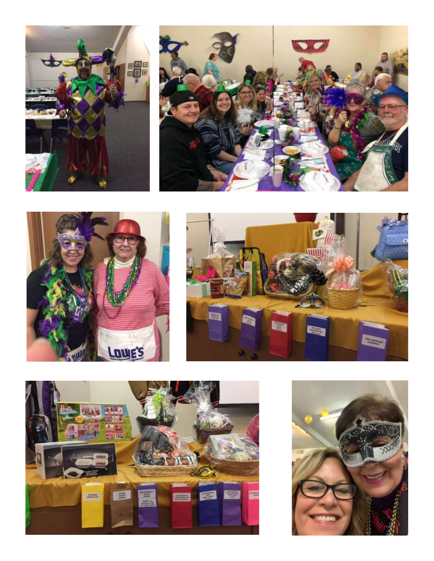









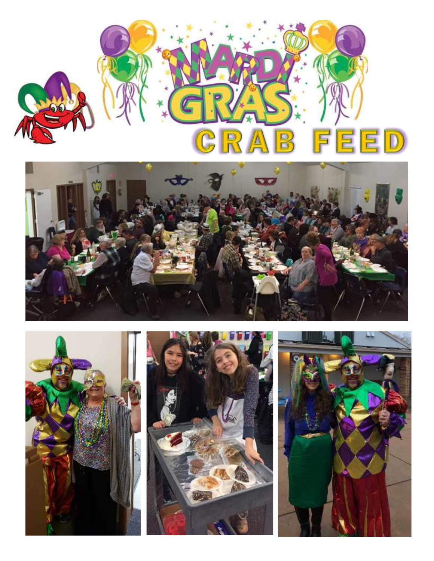



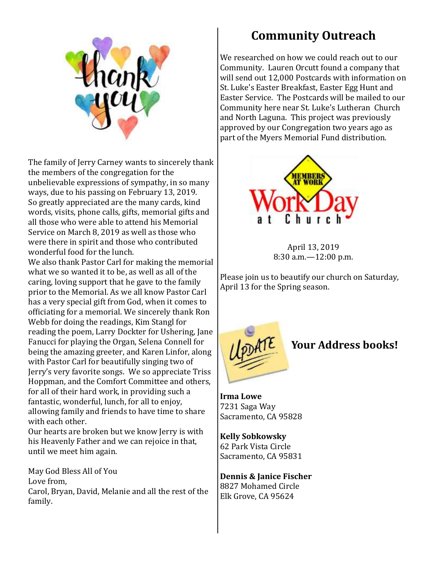

The family of Jerry Carney wants to sincerely thank the members of the congregation for the unbelievable expressions of sympathy, in so many ways, due to his passing on February 13, 2019. So greatly appreciated are the many cards, kind words, visits, phone calls, gifts, memorial gifts and all those who were able to attend his Memorial Service on March 8, 2019 as well as those who were there in spirit and those who contributed wonderful food for the lunch.

We also thank Pastor Carl for making the memorial what we so wanted it to be, as well as all of the caring, loving support that he gave to the family prior to the Memorial. As we all know Pastor Carl has a very special gift from God, when it comes to officiating for a memorial. We sincerely thank Ron Webb for doing the readings, Kim Stangl for reading the poem, Larry Dockter for Ushering, Jane Fanucci for playing the Organ, Selena Connell for being the amazing greeter, and Karen Linfor, along with Pastor Carl for beautifully singing two of Jerry's very favorite songs. We so appreciate Triss Hoppman, and the Comfort Committee and others, for all of their hard work, in providing such a fantastic, wonderful, lunch, for all to enjoy, allowing family and friends to have time to share with each other.

Our hearts are broken but we know Jerry is with his Heavenly Father and we can rejoice in that, until we meet him again.

May God Bless All of You Love from, Carol, Bryan, David, Melanie and all the rest of the family.

## **Community Outreach**

We researched on how we could reach out to our Community. Lauren Orcutt found a company that will send out 12,000 Postcards with information on St. Luke's Easter Breakfast, Easter Egg Hunt and Easter Service. The Postcards will be mailed to our Community here near St. Luke's Lutheran Church and North Laguna. This project was previously approved by our Congregation two years ago as part of the Myers Memorial Fund distribution.



April 13, 2019 8:30 a.m.—12:00 p.m.

Please join us to beautify our church on Saturday, April 13 for the Spring season.



**Your Address books!**

**Irma Lowe** 7231 Saga Way Sacramento, CA 95828

**Kelly Sobkowsky** 62 Park Vista Circle Sacramento, CA 95831

**Dennis & Janice Fischer** 8827 Mohamed Circle Elk Grove, CA 95624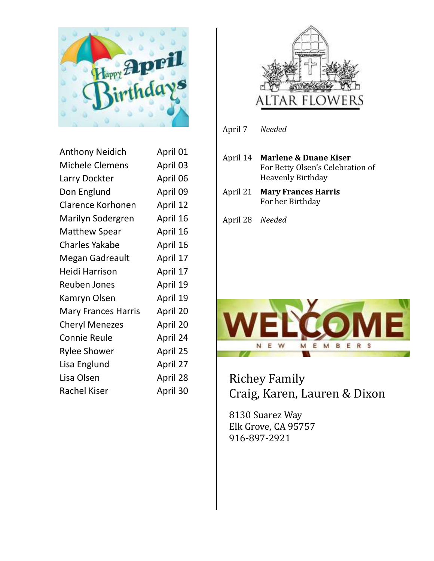

| <b>Anthony Neidich</b>     | April 01 |
|----------------------------|----------|
| <b>Michele Clemens</b>     | April 03 |
| Larry Dockter              | April 06 |
| Don Englund                | April 09 |
| <b>Clarence Korhonen</b>   | April 12 |
| Marilyn Sodergren          | April 16 |
| <b>Matthew Spear</b>       | April 16 |
| <b>Charles Yakabe</b>      | April 16 |
| Megan Gadreault            | April 17 |
| Heidi Harrison             | April 17 |
| <b>Reuben Jones</b>        | April 19 |
| Kamryn Olsen               | April 19 |
| <b>Mary Frances Harris</b> | April 20 |
| Cheryl Menezes             | April 20 |
| <b>Connie Reule</b>        | April 24 |
| <b>Rylee Shower</b>        | April 25 |
| Lisa Englund               | April 27 |
| Lisa Olsen                 | April 28 |
| <b>Rachel Kiser</b>        | April 30 |



April 7 *Needed*

- April 14 **Marlene & Duane Kiser** For Betty Olsen's Celebration of Heavenly Birthday
- April 21 **Mary Frances Harris** For her Birthday

April 28 *Needed*



Richey Family Craig, Karen, Lauren & Dixon

8130 Suarez Way Elk Grove, CA 95757 916-897-2921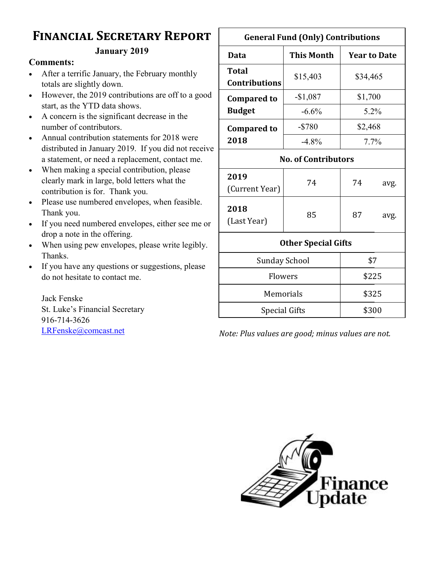## **Financial Secretary Report**

#### **January 2019**

#### **Comments:**

- After a terrific January, the February monthly totals are slightly down.
- However, the 2019 contributions are off to a good start, as the YTD data shows.
- A concern is the significant decrease in the number of contributors.
- Annual contribution statements for 2018 were distributed in January 2019. If you did not receive a statement, or need a replacement, contact me.
- When making a special contribution, please clearly mark in large, bold letters what the contribution is for. Thank you.
- Please use numbered envelopes, when feasible. Thank you.
- If you need numbered envelopes, either see me or drop a note in the offering.
- When using pew envelopes, please write legibly. Thanks.
- If you have any questions or suggestions, please do not hesitate to contact me.

Jack Fenske St. Luke's Financial Secretary 916-714-3626 [LRFenske@comcast.net](mailto:LRFenske@comcast.net)

#### **General Fund (Only) Contributions**

| Data                                 | <b>This Month</b> | <b>Year to Date</b> |
|--------------------------------------|-------------------|---------------------|
| <b>Total</b><br><b>Contributions</b> | \$15,403          | \$34,465            |
| <b>Compared to</b>                   | $-$1,087$         | \$1,700             |
| <b>Budget</b>                        | $-6.6\%$          | $5.2\%$             |
| <b>Compared to</b><br>2018           | $- $780$          | \$2,468             |
|                                      | $-4.8\%$          | $7.7\%$             |

#### **No. of Contributors**

| 2019<br>(Current Year)     | 74 | 74    | avg.  |
|----------------------------|----|-------|-------|
| 2018<br>(Last Year)        | 85 | 87    | avg.  |
| <b>Other Special Gifts</b> |    |       |       |
| <b>Sunday School</b>       |    |       | \$7   |
| Flowers                    |    | \$225 |       |
| Memorials                  |    |       | \$325 |
| <b>Special Gifts</b>       |    |       | \$300 |

*Note: Plus values are good; minus values are not.* 

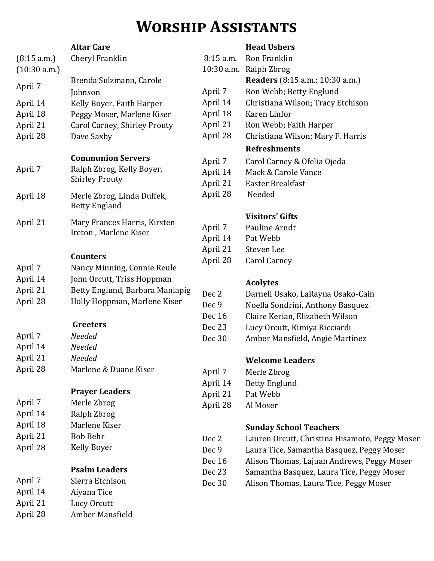## **Worship Assistants**

|              | <b>Altar Care</b>                                  |      |
|--------------|----------------------------------------------------|------|
| (8:15 a.m.)  | Cheryl Franklin                                    | 8:1  |
| (10:30 a.m.) |                                                    | 10:3 |
|              | Brenda Sulzmann, Carole                            |      |
| April 7      | Johnson                                            | Apri |
| April 14     | Kelly Boyer, Faith Harper                          | Apri |
| April 18     | Peggy Moser, Marlene Kiser                         | Apri |
| April 21     | Carol Carney, Shirley Prouty                       | Apri |
| April 28     | Dave Saxby                                         | Apri |
|              | <b>Communion Servers</b>                           |      |
| April 7      | Ralph Zbrog, Kelly Boyer,                          | Apri |
|              | <b>Shirley Prouty</b>                              | Apri |
|              |                                                    | Apri |
| April 18     | Merle Zbrog, Linda Duffek,<br><b>Betty England</b> | Apri |
| April 21     | Mary Frances Harris, Kirsten                       | Apri |
|              | Ireton, Marlene Kiser                              | Apri |
|              |                                                    | Apri |
|              | <b>Counters</b>                                    | Apri |
| April 7      | Nancy Minning, Connie Reule                        |      |
| April 14     | John Orcutt, Triss Hoppman                         |      |
| April 21     | Betty Englund, Barbara Manlapig                    | Dec  |
| April 28     | Holly Hoppman, Marlene Kiser                       | Dec  |
|              |                                                    | Dec  |
|              | Greeters                                           | Dec  |
| April 7      | Needed                                             | Dec  |
| April 14     | Needed                                             |      |
| April 21     | Needed                                             |      |
| April 28     | Marlene & Duane Kiser                              | Apri |
|              |                                                    | Apri |
|              | <b>Prayer Leaders</b>                              | Apri |
| April 7      | Merle Zbrog                                        | Apri |
| April 14     | Ralph Zbrog                                        |      |
| April 18     | Marlene Kiser                                      |      |
| April 21     | <b>Bob Behr</b>                                    | Dec  |
| April 28     | Kelly Boyer                                        | Dec  |
|              |                                                    | Dec  |
|              | <b>Psalm Leaders</b>                               | Dec  |
| April 7      | Sierra Etchison                                    | Dec  |
| April 14     | Aiyana Tice                                        |      |
| April 21     | Lucy Orcutt                                        |      |

#### April 28 Amber Mansfield

#### **Head Ushers**

| $8:15$ a.m.  | Ron Franklin                           |
|--------------|----------------------------------------|
| $10:30$ a.m. | Ralph Zbrog                            |
|              | <b>Readers</b> (8:15 a.m.; 10:30 a.m.) |
| April 7      | Ron Webb; Betty Englund                |
| April 14     | Christiana Wilson; Tracy Etchison      |
| April 18     | Karen Linfor                           |
| April 21     | Ron Webb; Faith Harper                 |
| April 28     | Christiana Wilson; Mary F. Harris      |
|              | <b>Refreshments</b>                    |
| April 7      | Carol Carney & Ofelia Ojeda            |
| April 14     | Mack & Carole Vance                    |
| April 21     | Easter Breakfast                       |
| April 28     | Needed                                 |
|              | <b>Visitors' Gifts</b>                 |

#### ril 7 Pauline Arndt ril 14 Pat Webb ril 21 Steven Lee il 28 Carol Carney

#### **Acolytes**

|        | 11601 V CO                        |
|--------|-----------------------------------|
| Dec 2  | Darnell Osako, LaRayna Osako-Cain |
| Dec 9  | Noella Sondrini, Anthony Basquez  |
| Dec 16 | Claire Kerian, Elizabeth Wilson   |
| Dec 23 | Lucy Orcutt, Kimiya Ricciardi     |
| Dec 30 | Amber Mansfield, Angie Martinez   |
|        |                                   |

#### **Welcome Leaders**

| April 7  | Merle Zbrog          |
|----------|----------------------|
| April 14 | <b>Betty Englund</b> |
| April 21 | Pat Webb             |
| April 28 | Al Moser             |

#### **Sunday School Teachers**

| Dec 2  | Lauren Orcutt, Christina Hisamoto, Peggy Moser |
|--------|------------------------------------------------|
| Dec 9  | Laura Tice, Samantha Basquez, Peggy Moser      |
| Dec 16 | Alison Thomas, Lajuan Andrews, Peggy Moser     |
| Dec 23 | Samantha Basquez, Laura Tice, Peggy Moser      |
| Dec 30 | Alison Thomas, Laura Tice, Peggy Moser         |